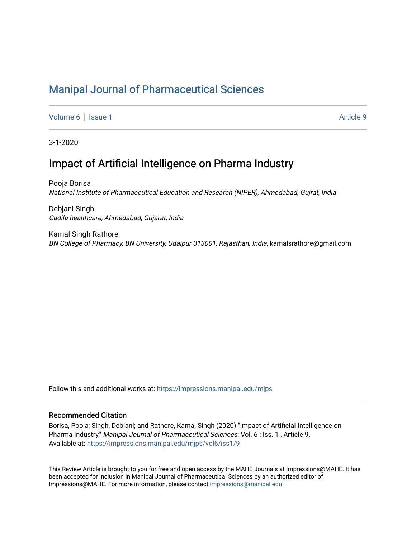# [Manipal Journal of Pharmaceutical Sciences](https://impressions.manipal.edu/mjps)

[Volume 6](https://impressions.manipal.edu/mjps/vol6) | [Issue 1](https://impressions.manipal.edu/mjps/vol6/iss1) Article 9

3-1-2020

## Impact of Artificial Intelligence on Pharma Industry

Pooja Borisa National Institute of Pharmaceutical Education and Research (NIPER), Ahmedabad, Gujrat, India

Debjani Singh Cadila healthcare, Ahmedabad, Gujarat, India

Kamal Singh Rathore BN College of Pharmacy, BN University, Udaipur 313001, Rajasthan, India, kamalsrathore@gmail.com

Follow this and additional works at: [https://impressions.manipal.edu/mjps](https://impressions.manipal.edu/mjps?utm_source=impressions.manipal.edu%2Fmjps%2Fvol6%2Fiss1%2F9&utm_medium=PDF&utm_campaign=PDFCoverPages)

#### Recommended Citation

Borisa, Pooja; Singh, Debjani; and Rathore, Kamal Singh (2020) "Impact of Artificial Intelligence on Pharma Industry," Manipal Journal of Pharmaceutical Sciences: Vol. 6 : Iss. 1, Article 9. Available at: [https://impressions.manipal.edu/mjps/vol6/iss1/9](https://impressions.manipal.edu/mjps/vol6/iss1/9?utm_source=impressions.manipal.edu%2Fmjps%2Fvol6%2Fiss1%2F9&utm_medium=PDF&utm_campaign=PDFCoverPages)

This Review Article is brought to you for free and open access by the MAHE Journals at Impressions@MAHE. It has been accepted for inclusion in Manipal Journal of Pharmaceutical Sciences by an authorized editor of Impressions@MAHE. For more information, please contact [impressions@manipal.edu](mailto:impressions@manipal.edu).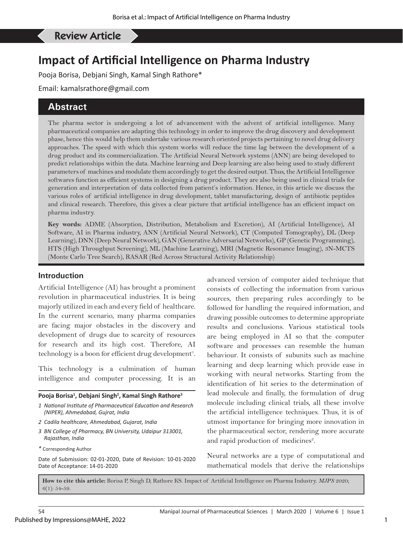#### Borisa P, *et al*: Impact of Artificial Intelligence on Pharma Industry Review Article

# **Impact of Artificial Intelligence on Pharma Industry**

Pooja Borisa, Debjani Singh, Kamal Singh Rathore\*

Email: kamalsrathore@gmail.com

### **Abstract**

The pharma sector is undergoing a lot of advancement with the advent of artificial intelligence. Many pharmaceutical companies are adapting this technology in order to improve the drug discovery and development phase, hence this would help them undertake various research oriented projects pertaining to novel drug delivery approaches. The speed with which this system works will reduce the time lag between the development of a drug product and its commercialization. The Artificial Neural Network systems (ANN) are being developed to predict relationships within the data. Machine learning and Deep learning are also being used to study different parameters of machines and modulate them accordingly to get the desired output. Thus, the Artificial Intelligence softwares function as efficient systems in designing a drug product. They are also being used in clinical trials for generation and interpretation of data collected from patient's information. Hence, in this article we discuss the various roles of artificial intelligence in drug development, tablet manufacturing, design of antibiotic peptides and clinical research. Therefore, this gives a clear picture that artificial intelligence has an efficient impact on pharma industry.

**Key words:** ADME (Absorption, Distribution, Metabolism and Excretion), AI (Artificial Intelligence), AI Software, AI in Pharma industry, ANN (Artificial Neural Network), CT (Computed Tomography), DL (Deep Learning), DNN (Deep Neural Network), GAN (Generative Adversarial Networks), GP (Genetic Programming), HTS (High Throughput Screening), ML (Machine Learning), MRI (Magnetic Resonance Imaging), 3N-MCTS (Monte Carlo Tree Search), RASAR (Red Across Structural Activity Relationship)

#### **Introduction**

Artificial Intelligence (AI) has brought a prominent revolution in pharmaceutical industries. It is being majorly utilized in each and every field of healthcare. In the current scenario, many pharma companies are facing major obstacles in the discovery and development of drugs due to scarcity of resources for research and its high cost. Therefore, AI technology is a boon for efficient drug development<sup>1</sup>.

This technology is a culmination of human intelligence and computer processing. It is an

#### **Pooja Borisa1 , Debjani Singh2 , Kamal Singh Rathore3**

- *1 National Institute of Pharmaceutical Education and Research (NIPER), Ahmedabad, Gujrat, India*
- *2 Cadila healthcare, Ahmedabad, Gujarat, India*
- *3 BN College of Pharmacy, BN University, Udaipur 313001, Rajasthan, India*
- *\** Corresponding Author

Date of Submission: 02-01-2020, Date of Revision: 10-01-2020 Date of Acceptance: 14-01-2020

advanced version of computer aided technique that consists of collecting the information from various sources, then preparing rules accordingly to be followed for handling the required information, and drawing possible outcomes to determine appropriate results and conclusions. Various statistical tools are being employed in AI so that the computer software and processes can resemble the human behaviour. It consists of subunits such as machine learning and deep learning which provide ease in working with neural networks. Starting from the identification of hit series to the determination of lead molecule and finally, the formulation of drug molecule including clinical trials, all these involve the artificial intelligence techniques. Thus, it is of utmost importance for bringing more innovation in the pharmaceutical sector, rendering more accurate and rapid production of medicines<sup>2</sup>.

Neural networks are a type of computational and mathematical models that derive the relationships

**How to cite this article:** Borisa P, Singh D, Rathore KS. Impact of Artificial Intelligence on Pharma Industry. *MJPS* 2020;  $6(1): 54 - 59.$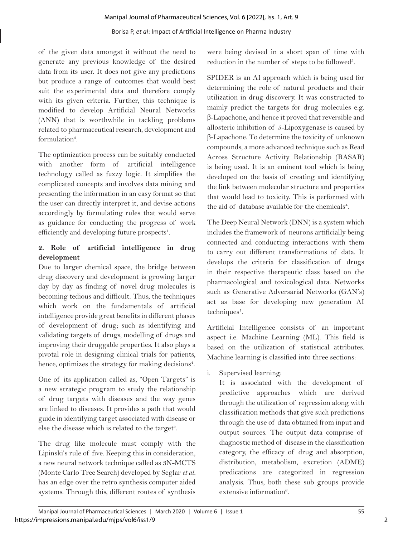#### Borisa P, *et al*: Impact of Artificial Intelligence on Pharma Industry

of the given data amongst it without the need to generate any previous knowledge of the desired data from its user. It does not give any predictions but produce a range of outcomes that would best suit the experimental data and therefore comply with its given criteria. Further, this technique is modified to develop Artificial Neural Networks (ANN) that is worthwhile in tackling problems related to pharmaceutical research, development and formulation<sup>3</sup>.

The optimization process can be suitably conducted with another form of artificial intelligence technology called as fuzzy logic. It simplifies the complicated concepts and involves data mining and presenting the information in an easy format so that the user can directly interpret it, and devise actions accordingly by formulating rules that would serve as guidance for conducting the progress of work efficiently and developing future prospects<sup>1</sup>.

### **2. Role of artificial intelligence in drug development**

Due to larger chemical space, the bridge between drug discovery and development is growing larger day by day as finding of novel drug molecules is becoming tedious and difficult. Thus, the techniques which work on the fundamentals of artificial intelligence provide great benefits in different phases of development of drug; such as identifying and validating targets of drugs, modelling of drugs and improving their druggable properties. It also plays a pivotal role in designing clinical trials for patients, hence, optimizes the strategy for making decisions<sup>4</sup>.

One of its application called as, "Open Targets" is a new strategic program to study the relationship of drug targets with diseases and the way genes are linked to diseases. It provides a path that would guide in identifying target associated with disease or else the disease which is related to the target<sup>4</sup>.

The drug like molecule must comply with the Lipinski's rule of five. Keeping this in consideration, a new neural network technique called as 3N-MCTS (Monte Carlo Tree Search) developed by Seglar *et al.* has an edge over the retro synthesis computer aided systems. Through this, different routes of synthesis

were being devised in a short span of time with reduction in the number of steps to be followed<sup>5</sup>.

SPIDER is an AI approach which is being used for determining the role of natural products and their utilization in drug discovery. It was constructed to mainly predict the targets for drug molecules e.g. β-Lapachone, and hence it proved that reversible and allosteric inhibition of 5-Lipoxygenase is caused by β-Lapachone. To determine the toxicity of unknown compounds, a more advanced technique such as Read Across Structure Activity Relationship (RASAR) is being used. It is an eminent tool which is being developed on the basis of creating and identifying the link between molecular structure and properties that would lead to toxicity. This is performed with the aid of database available for the chemicals<sup>4</sup>.

The Deep Neural Network (DNN) is a system which includes the framework of neurons artificially being connected and conducting interactions with them to carry out different transformations of data. It develops the criteria for classification of drugs in their respective therapeutic class based on the pharmacological and toxicological data. Networks such as Generative Adversarial Networks (GAN's) act as base for developing new generation AI techniques<sup>1</sup>.

Artificial Intelligence consists of an important aspect i.e. Machine Learning (ML). This field is based on the utilization of statistical attributes. Machine learning is classified into three sections:

i. Supervised learning:

It is associated with the development of predictive approaches which are derived through the utilization of regression along with classification methods that give such predictions through the use of data obtained from input and output sources. The output data comprise of diagnostic method of disease in the classification category, the efficacy of drug and absorption, distribution, metabolism, excretion (ADME) predications are categorized in regression analysis. Thus, both these sub groups provide extensive information<sup>6</sup>.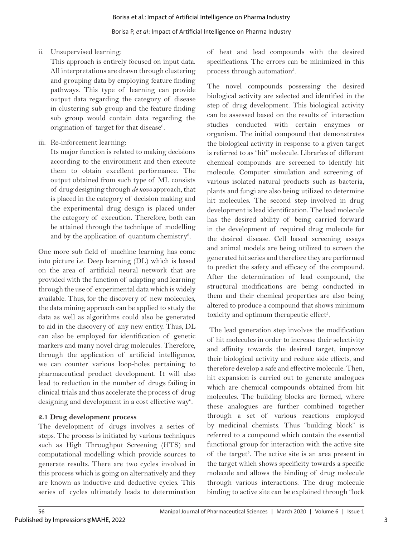Borisa P, *et al*: Impact of Artificial Intelligence on Pharma Industry

ii. Unsupervised learning:

This approach is entirely focused on input data. All interpretations are drawn through clustering and grouping data by employing feature finding pathways. This type of learning can provide output data regarding the category of disease in clustering sub group and the feature finding sub group would contain data regarding the origination of target for that disease<sup>6</sup>.

iii. Re-inforcement learning:

Its major function is related to making decisions according to the environment and then execute them to obtain excellent performance. The output obtained from such type of ML consists of drug designing through *de novo* approach, that is placed in the category of decision making and the experimental drug design is placed under the category of execution. Therefore, both can be attained through the technique of modelling and by the application of quantum chemistry $^6$ .

One more sub field of machine learning has come into picture i.e. Deep learning (DL) which is based on the area of artificial neural network that are provided with the function of adapting and learning through the use of experimental data which is widely available. Thus, for the discovery of new molecules, the data mining approach can be applied to study the data as well as algorithms could also be generated to aid in the discovery of any new entity. Thus, DL can also be employed for identification of genetic markers and many novel drug molecules. Therefore, through the application of artificial intelligence, we can counter various loop-holes pertaining to pharmaceutical product development. It will also lead to reduction in the number of drugs failing in clinical trials and thus accelerate the process of drug designing and development in a cost effective way<sup>6</sup>.

## **2.1 Drug development process**

The development of drugs involves a series of steps. The process is initiated by various techniques such as High Throughput Screening (HTS) and computational modelling which provide sources to generate results. There are two cycles involved in this process which is going on alternatively and they are known as inductive and deductive cycles. This series of cycles ultimately leads to determination

of heat and lead compounds with the desired specifications. The errors can be minimized in this process through automation<sup>5</sup>.

The novel compounds possessing the desired biological activity are selected and identified in the step of drug development. This biological activity can be assessed based on the results of interaction studies conducted with certain enzymes or organism. The initial compound that demonstrates the biological activity in response to a given target is referred to as "hit" molecule. Libraries of different chemical compounds are screened to identify hit molecule. Computer simulation and screening of various isolated natural products such as bacteria, plants and fungi are also being utilized to determine hit molecules. The second step involved in drug development is lead identification. The lead molecule has the desired ability of being carried forward in the development of required drug molecule for the desired disease. Cell based screening assays and animal models are being utilized to screen the generated hit series and therefore they are performed to predict the safety and efficacy of the compound. After the determination of lead compound, the structural modifications are being conducted in them and their chemical properties are also being altered to produce a compound that shows minimum toxicity and optimum therapeutic effect<sup>5</sup>.

 The lead generation step involves the modification of hit molecules in order to increase their selectivity and affinity towards the desired target, improve their biological activity and reduce side effects, and therefore develop a safe and effective molecule. Then, hit expansion is carried out to generate analogues which are chemical compounds obtained from hit molecules. The building blocks are formed, where these analogues are further combined together through a set of various reactions employed by medicinal chemists. Thus "building block" is referred to a compound which contain the essential functional group for interaction with the active site of the target<sup>5</sup>. The active site is an area present in the target which shows specificity towards a specific molecule and allows the binding of drug molecule through various interactions. The drug molecule binding to active site can be explained through "lock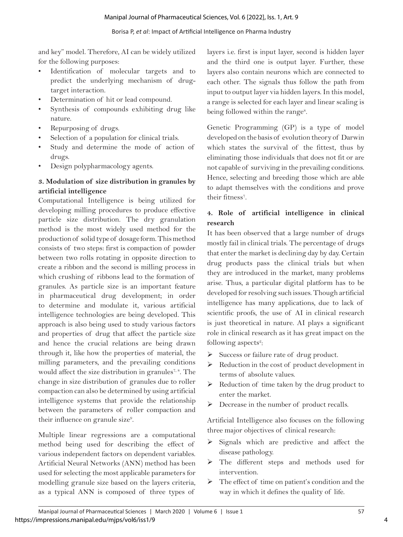and key" model. Therefore, AI can be widely utilized for the following purposes:

- Identification of molecular targets and to predict the underlying mechanism of drugtarget interaction.
- Determination of hit or lead compound.
- Synthesis of compounds exhibiting drug like nature.
- Repurposing of drugs.
- Selection of a population for clinical trials.
- Study and determine the mode of action of drugs.
- Design polypharmacology agents.

#### **3. Modulation of size distribution in granules by artificial intelligence**

Computational Intelligence is being utilized for developing milling procedures to produce effective particle size distribution. The dry granulation method is the most widely used method for the production of solid type of dosage form. This method consists of two steps: first is compaction of powder between two rolls rotating in opposite direction to create a ribbon and the second is milling process in which crushing of ribbons lead to the formation of granules. As particle size is an important feature in pharmaceutical drug development; in order to determine and modulate it, various artificial intelligence technologies are being developed. This approach is also being used to study various factors and properties of drug that affect the particle size and hence the crucial relations are being drawn through it, like how the properties of material, the milling parameters, and the prevailing conditions would affect the size distribution in granules<sup>7,8</sup>. The change in size distribution of granules due to roller compaction can also be determined by using artificial intelligence systems that provide the relationship between the parameters of roller compaction and their influence on granule size<sup>9</sup>.

Multiple linear regressions are a computational method being used for describing the effect of various independent factors on dependent variables. Artificial Neural Networks (ANN) method has been used for selecting the most applicable parameters for modelling granule size based on the layers criteria, as a typical ANN is composed of three types of

layers i.e. first is input layer, second is hidden layer and the third one is output layer. Further, these layers also contain neurons which are connected to each other. The signals thus follow the path from input to output layer via hidden layers. In this model, a range is selected for each layer and linear scaling is being followed within the range<sup>8</sup>.

Genetic Programming (GP) is a type of model developed on the basis of evolution theory of Darwin which states the survival of the fittest, thus by eliminating those individuals that does not fit or are not capable of surviving in the prevailing conditions. Hence, selecting and breeding those which are able to adapt themselves with the conditions and prove their fitness<sup>7</sup>.

## **4. Role of artificial intelligence in clinical research**

It has been observed that a large number of drugs mostly fail in clinical trials. The percentage of drugs that enter the market is declining day by day. Certain drug products pass the clinical trials but when they are introduced in the market, many problems arise. Thus, a particular digital platform has to be developed for resolving such issues. Though artificial intelligence has many applications, due to lack of scientific proofs, the use of AI in clinical research is just theoretical in nature. AI plays a significant role in clinical research as it has great impact on the following aspects<sup>2</sup>:

- $\triangleright$  Success or failure rate of drug product.
- $\triangleright$  Reduction in the cost of product development in terms of absolute values.
- $\triangleright$  Reduction of time taken by the drug product to enter the market.
- $\triangleright$  Decrease in the number of product recalls.

Artificial Intelligence also focuses on the following three major objectives of clinical research:

- $\triangleright$  Signals which are predictive and affect the disease pathology.
- The different steps and methods used for intervention.
- $\triangleright$  The effect of time on patient's condition and the way in which it defines the quality of life.

4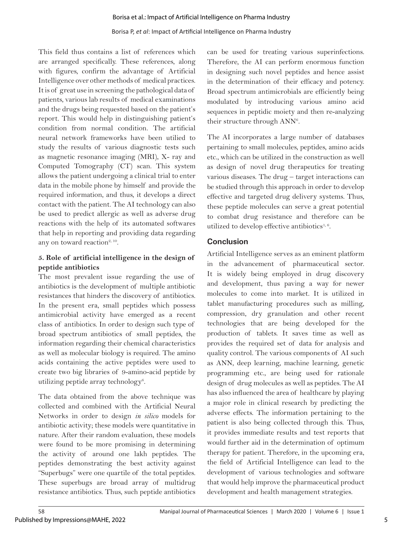#### Borisa et al.: Impact of Artificial Intelligence on Pharma Industry

#### Borisa P, *et al*: Impact of Artificial Intelligence on Pharma Industry

This field thus contains a list of references which are arranged specifically. These references, along with figures, confirm the advantage of Artificial Intelligence over other methods of medical practices. It is of great use in screening the pathological data of patients, various lab results of medical examinations and the drugs being requested based on the patient's report. This would help in distinguishing patient's condition from normal condition. The artificial neural network frameworks have been utilied to study the results of various diagnostic tests such as magnetic resonance imaging (MRI), X- ray and Computed Tomography (CT) scan. This system allows the patient undergoing a clinical trial to enter data in the mobile phone by himself and provide the required information, and thus, it develops a direct contact with the patient. The AI technology can also be used to predict allergic as well as adverse drug reactions with the help of its automated softwares that help in reporting and providing data regarding any on toward reaction $2, 10$ .

### **5. Role of artificial intelligence in the design of peptide antibiotics**

The most prevalent issue regarding the use of antibiotics is the development of multiple antibiotic resistances that hinders the discovery of antibiotics. In the present era, small peptides which possess antimicrobial activity have emerged as a recent class of antibiotics. In order to design such type of broad spectrum antibiotics of small peptides, the information regarding their chemical characteristics as well as molecular biology is required. The amino acids containing the active peptides were used to create two big libraries of 9-amino-acid peptide by utilizing peptide array technology<sup>6</sup>.

The data obtained from the above technique was collected and combined with the Artificial Neural Networks in order to design *in silico* models for antibiotic activity; these models were quantitative in nature. After their random evaluation, these models were found to be more promising in determining the activity of around one lakh peptides. The peptides demonstrating the best activity against "Superbugs" were one quartile of the total peptides. These superbugs are broad array of multidrug resistance antibiotics. Thus, such peptide antibiotics

can be used for treating various superinfections. Therefore, the AI can perform enormous function in designing such novel peptides and hence assist in the determination of their efficacy and potency. Broad spectrum antimicrobials are efficiently being modulated by introducing various amino acid sequences in peptidic moiety and then re-analyzing their structure through ANN<sup>6</sup>.

The AI incorporates a large number of databases pertaining to small molecules, peptides, amino acids etc., which can be utilized in the construction as well as design of novel drug therapeutics for treating various diseases. The drug – target interactions can be studied through this approach in order to develop effective and targeted drug delivery systems. Thus, these peptide molecules can serve a great potential to combat drug resistance and therefore can be utilized to develop effective antibiotics<sup>1, 6</sup>.

### **Conclusion**

Artificial Intelligence serves as an eminent platform in the advancement of pharmaceutical sector. It is widely being employed in drug discovery and development, thus paving a way for newer molecules to come into market. It is utilized in tablet manufacturing procedures such as milling, compression, dry granulation and other recent technologies that are being developed for the production of tablets. It saves time as well as provides the required set of data for analysis and quality control. The various components of AI such as ANN, deep learning, machine learning, genetic programming etc., are being used for rationale design of drug molecules as well as peptides. The AI has also influenced the area of healthcare by playing a major role in clinical research by predicting the adverse effects. The information pertaining to the patient is also being collected through this. Thus, it provides immediate results and test reports that would further aid in the determination of optimum therapy for patient. Therefore, in the upcoming era, the field of Artificial Intelligence can lead to the development of various technologies and software that would help improve the pharmaceutical product development and health management strategies.